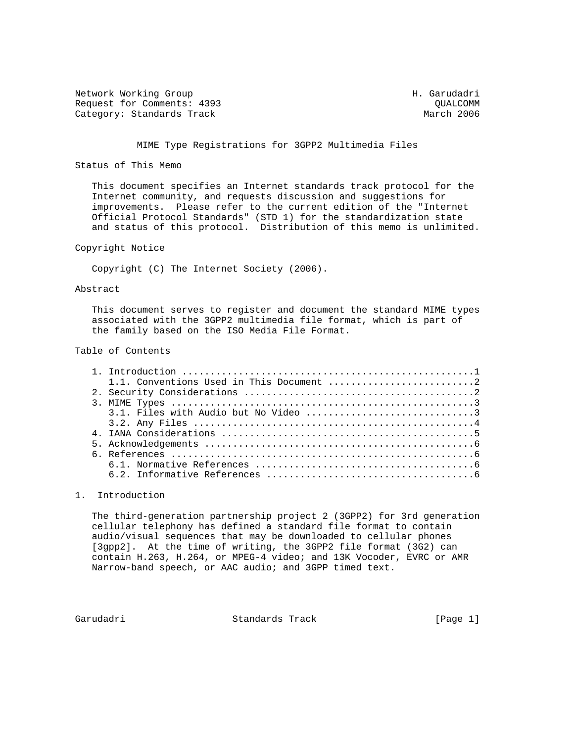Network Working Group Network More Group H. Garudadri Request for Comments: 4393 QUALCOMM Category: Standards Track

# MIME Type Registrations for 3GPP2 Multimedia Files

# Status of This Memo

 This document specifies an Internet standards track protocol for the Internet community, and requests discussion and suggestions for improvements. Please refer to the current edition of the "Internet Official Protocol Standards" (STD 1) for the standardization state and status of this protocol. Distribution of this memo is unlimited.

# Copyright Notice

Copyright (C) The Internet Society (2006).

### Abstract

 This document serves to register and document the standard MIME types associated with the 3GPP2 multimedia file format, which is part of the family based on the ISO Media File Format.

#### Table of Contents

### 1. Introduction

 The third-generation partnership project 2 (3GPP2) for 3rd generation cellular telephony has defined a standard file format to contain audio/visual sequences that may be downloaded to cellular phones [3gpp2]. At the time of writing, the 3GPP2 file format (3G2) can contain H.263, H.264, or MPEG-4 video; and 13K Vocoder, EVRC or AMR Narrow-band speech, or AAC audio; and 3GPP timed text.

Garudadri Standards Track [Page 1]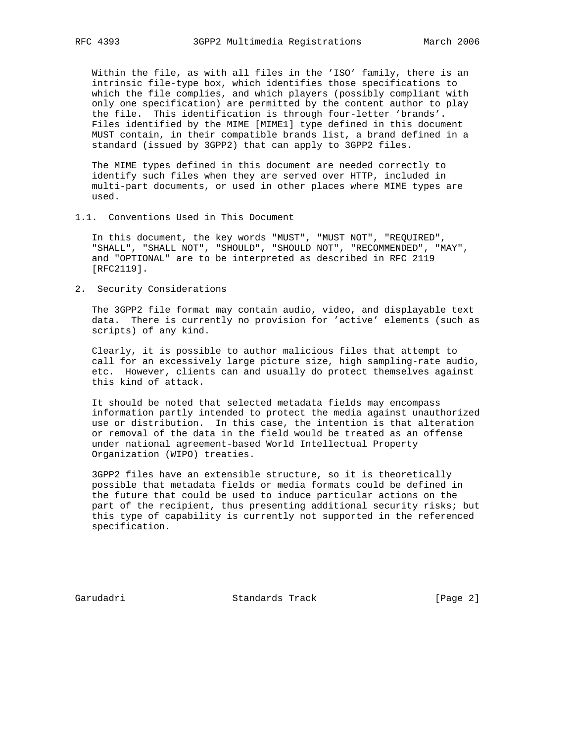Within the file, as with all files in the 'ISO' family, there is an intrinsic file-type box, which identifies those specifications to which the file complies, and which players (possibly compliant with only one specification) are permitted by the content author to play the file. This identification is through four-letter 'brands'. Files identified by the MIME [MIME1] type defined in this document MUST contain, in their compatible brands list, a brand defined in a standard (issued by 3GPP2) that can apply to 3GPP2 files.

 The MIME types defined in this document are needed correctly to identify such files when they are served over HTTP, included in multi-part documents, or used in other places where MIME types are used.

1.1. Conventions Used in This Document

 In this document, the key words "MUST", "MUST NOT", "REQUIRED", "SHALL", "SHALL NOT", "SHOULD", "SHOULD NOT", "RECOMMENDED", "MAY", and "OPTIONAL" are to be interpreted as described in RFC 2119 [RFC2119].

2. Security Considerations

 The 3GPP2 file format may contain audio, video, and displayable text data. There is currently no provision for 'active' elements (such as scripts) of any kind.

 Clearly, it is possible to author malicious files that attempt to call for an excessively large picture size, high sampling-rate audio, etc. However, clients can and usually do protect themselves against this kind of attack.

 It should be noted that selected metadata fields may encompass information partly intended to protect the media against unauthorized use or distribution. In this case, the intention is that alteration or removal of the data in the field would be treated as an offense under national agreement-based World Intellectual Property Organization (WIPO) treaties.

 3GPP2 files have an extensible structure, so it is theoretically possible that metadata fields or media formats could be defined in the future that could be used to induce particular actions on the part of the recipient, thus presenting additional security risks; but this type of capability is currently not supported in the referenced specification.

Garudadri Standards Track [Page 2]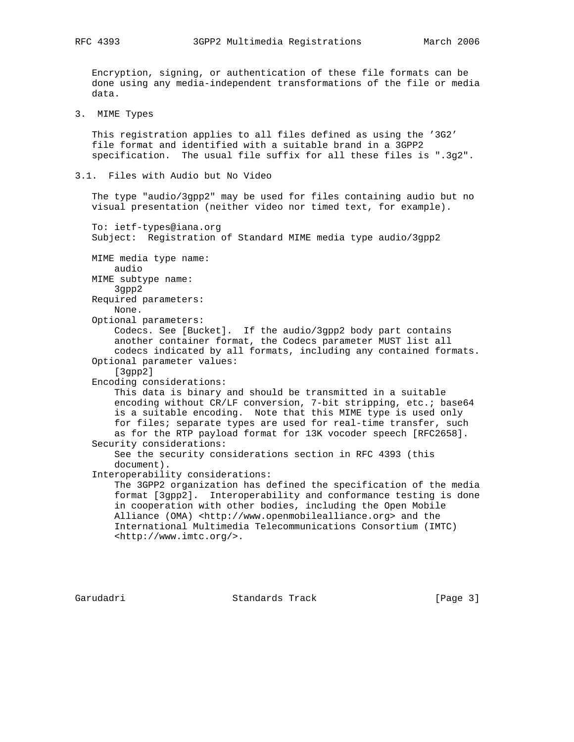Encryption, signing, or authentication of these file formats can be done using any media-independent transformations of the file or media data.

3. MIME Types

 This registration applies to all files defined as using the '3G2' file format and identified with a suitable brand in a 3GPP2 specification. The usual file suffix for all these files is ".3g2".

3.1. Files with Audio but No Video

 The type "audio/3gpp2" may be used for files containing audio but no visual presentation (neither video nor timed text, for example).

 To: ietf-types@iana.org Subject: Registration of Standard MIME media type audio/3gpp2

```
 MIME media type name:
    audio
```
MIME subtype name:

 3gpp2 Required parameters:

None.

Optional parameters:

 Codecs. See [Bucket]. If the audio/3gpp2 body part contains another container format, the Codecs parameter MUST list all codecs indicated by all formats, including any contained formats. Optional parameter values:

[3gpp2]

Encoding considerations:

 This data is binary and should be transmitted in a suitable encoding without CR/LF conversion, 7-bit stripping, etc.; base64 is a suitable encoding. Note that this MIME type is used only for files; separate types are used for real-time transfer, such as for the RTP payload format for 13K vocoder speech [RFC2658]. Security considerations:

```
 See the security considerations section in RFC 4393 (this
 document).
```
Interoperability considerations:

 The 3GPP2 organization has defined the specification of the media format [3gpp2]. Interoperability and conformance testing is done in cooperation with other bodies, including the Open Mobile Alliance (OMA) <http://www.openmobilealliance.org> and the International Multimedia Telecommunications Consortium (IMTC) <http://www.imtc.org/>.

Garudadri Standards Track [Page 3]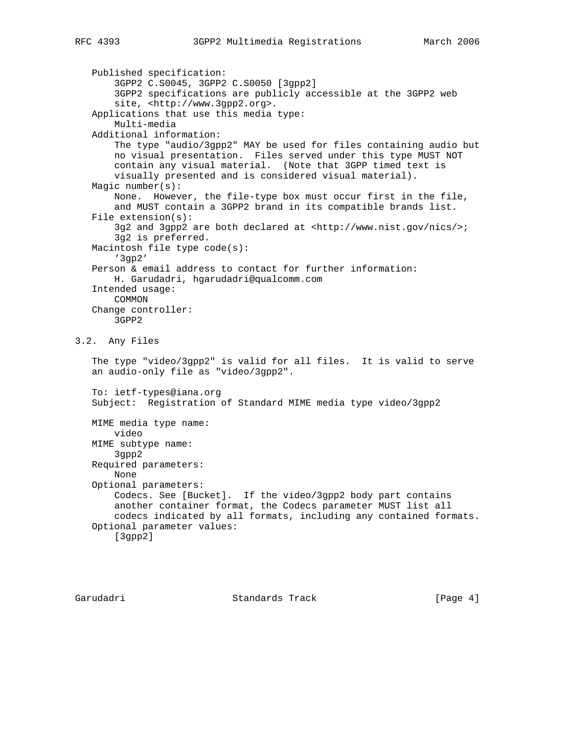```
 Published specification:
        3GPP2 C.S0045, 3GPP2 C.S0050 [3gpp2]
        3GPP2 specifications are publicly accessible at the 3GPP2 web
       site, <http://www.3qpp2.org>.
    Applications that use this media type:
        Multi-media
    Additional information:
        The type "audio/3gpp2" MAY be used for files containing audio but
        no visual presentation. Files served under this type MUST NOT
        contain any visual material. (Note that 3GPP timed text is
        visually presented and is considered visual material).
   Magic number(s):
        None. However, the file-type box must occur first in the file,
        and MUST contain a 3GPP2 brand in its compatible brands list.
    File extension(s):
        3g2 and 3gpp2 are both declared at <http://www.nist.gov/nics/>;
        3g2 is preferred.
   Macintosh file type code(s):
        '3gp2'
    Person & email address to contact for further information:
        H. Garudadri, hgarudadri@qualcomm.com
    Intended usage:
       COMMON
    Change controller:
       3GPP2
3.2. Any Files
    The type "video/3gpp2" is valid for all files. It is valid to serve
    an audio-only file as "video/3gpp2".
    To: ietf-types@iana.org
    Subject: Registration of Standard MIME media type video/3gpp2
   MIME media type name:
       video
   MIME subtype name:
        3gpp2
   Required parameters:
        None
    Optional parameters:
        Codecs. See [Bucket]. If the video/3gpp2 body part contains
        another container format, the Codecs parameter MUST list all
        codecs indicated by all formats, including any contained formats.
    Optional parameter values:
        [3gpp2]
```
Garudadri Standards Track [Page 4]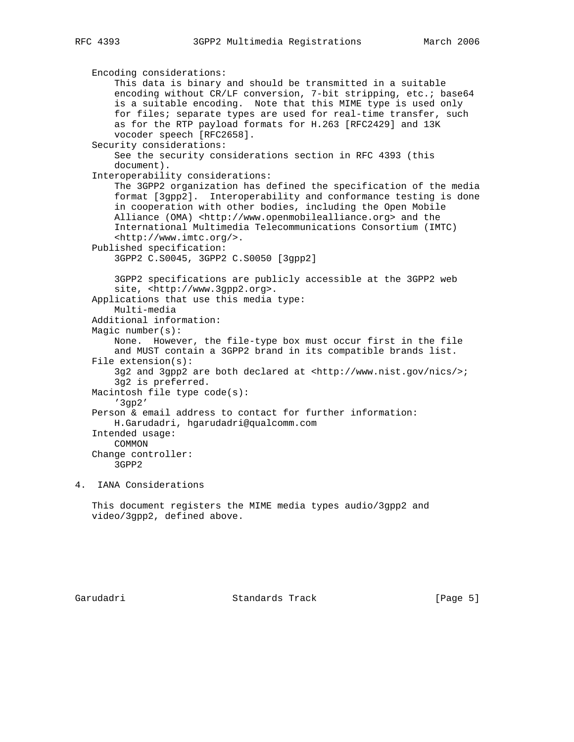```
 Encoding considerations:
     This data is binary and should be transmitted in a suitable
    encoding without CR/LF conversion, 7-bit stripping, etc.; base64
     is a suitable encoding. Note that this MIME type is used only
     for files; separate types are used for real-time transfer, such
     as for the RTP payload formats for H.263 [RFC2429] and 13K
     vocoder speech [RFC2658].
 Security considerations:
     See the security considerations section in RFC 4393 (this
     document).
 Interoperability considerations:
     The 3GPP2 organization has defined the specification of the media
     format [3gpp2]. Interoperability and conformance testing is done
     in cooperation with other bodies, including the Open Mobile
    Alliance (OMA) <http://www.openmobilealliance.org> and the
     International Multimedia Telecommunications Consortium (IMTC)
     <http://www.imtc.org/>.
 Published specification:
     3GPP2 C.S0045, 3GPP2 C.S0050 [3gpp2]
     3GPP2 specifications are publicly accessible at the 3GPP2 web
    site, <http://www.3gpp2.org>.
 Applications that use this media type:
     Multi-media
 Additional information:
 Magic number(s):
     None. However, the file-type box must occur first in the file
     and MUST contain a 3GPP2 brand in its compatible brands list.
 File extension(s):
     3g2 and 3gpp2 are both declared at <http://www.nist.gov/nics/>;
     3g2 is preferred.
 Macintosh file type code(s):
     '3gp2'
 Person & email address to contact for further information:
     H.Garudadri, hgarudadri@qualcomm.com
 Intended usage:
    COMMON
 Change controller:
     3GPP2
```
4. IANA Considerations

 This document registers the MIME media types audio/3gpp2 and video/3gpp2, defined above.

Garudadri Standards Track [Page 5]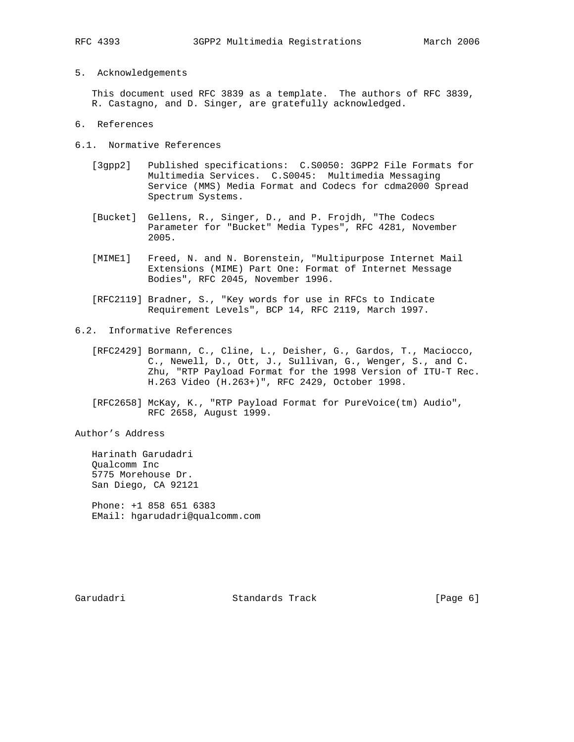5. Acknowledgements

 This document used RFC 3839 as a template. The authors of RFC 3839, R. Castagno, and D. Singer, are gratefully acknowledged.

- 6. References
- 6.1. Normative References
	- [3gpp2] Published specifications: C.S0050: 3GPP2 File Formats for Multimedia Services. C.S0045: Multimedia Messaging Service (MMS) Media Format and Codecs for cdma2000 Spread Spectrum Systems.
	- [Bucket] Gellens, R., Singer, D., and P. Frojdh, "The Codecs Parameter for "Bucket" Media Types", RFC 4281, November 2005.
	- [MIME1] Freed, N. and N. Borenstein, "Multipurpose Internet Mail Extensions (MIME) Part One: Format of Internet Message Bodies", RFC 2045, November 1996.
	- [RFC2119] Bradner, S., "Key words for use in RFCs to Indicate Requirement Levels", BCP 14, RFC 2119, March 1997.
- 6.2. Informative References
	- [RFC2429] Bormann, C., Cline, L., Deisher, G., Gardos, T., Maciocco, C., Newell, D., Ott, J., Sullivan, G., Wenger, S., and C. Zhu, "RTP Payload Format for the 1998 Version of ITU-T Rec. H.263 Video (H.263+)", RFC 2429, October 1998.
	- [RFC2658] McKay, K., "RTP Payload Format for PureVoice(tm) Audio", RFC 2658, August 1999.

Author's Address

 Harinath Garudadri Qualcomm Inc 5775 Morehouse Dr. San Diego, CA 92121

 Phone: +1 858 651 6383 EMail: hgarudadri@qualcomm.com

Garudadri Standards Track [Page 6]